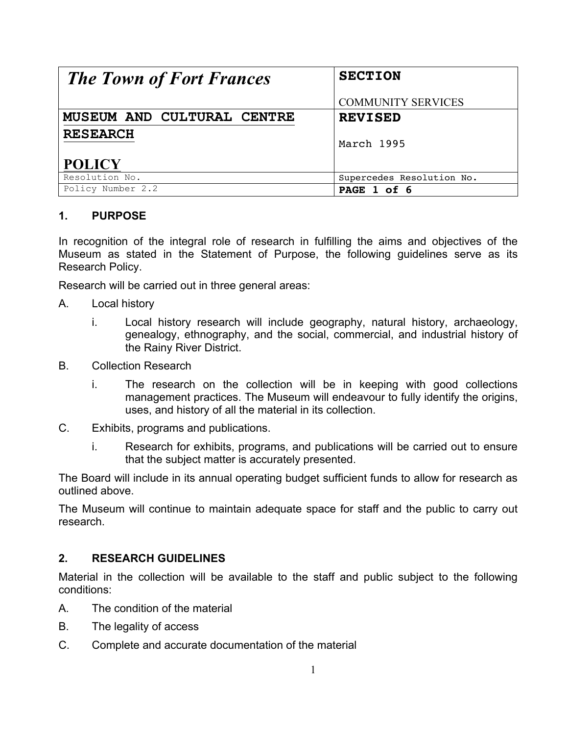| <b>The Town of Fort Frances</b> | <b>SECTION</b>            |
|---------------------------------|---------------------------|
|                                 | <b>COMMUNITY SERVICES</b> |
| MUSEUM AND CULTURAL CENTRE      | <b>REVISED</b>            |
| <b>RESEARCH</b>                 | March 1995                |
| <b>POLICY</b>                   |                           |
| Resolution No.                  | Supercedes Resolution No. |
| Policy Number 2.2               | PAGE 1 of 6               |

## **1. PURPOSE**

In recognition of the integral role of research in fulfilling the aims and objectives of the Museum as stated in the Statement of Purpose, the following guidelines serve as its Research Policy.

Research will be carried out in three general areas:

- A. Local history
	- i. Local history research will include geography, natural history, archaeology, genealogy, ethnography, and the social, commercial, and industrial history of the Rainy River District.
- B. Collection Research
	- i. The research on the collection will be in keeping with good collections management practices. The Museum will endeavour to fully identify the origins, uses, and history of all the material in its collection.
- C. Exhibits, programs and publications.
	- i. Research for exhibits, programs, and publications will be carried out to ensure that the subject matter is accurately presented.

The Board will include in its annual operating budget sufficient funds to allow for research as outlined above.

The Museum will continue to maintain adequate space for staff and the public to carry out research.

# **2. RESEARCH GUIDELINES**

Material in the collection will be available to the staff and public subject to the following conditions:

- A. The condition of the material
- B. The legality of access
- C. Complete and accurate documentation of the material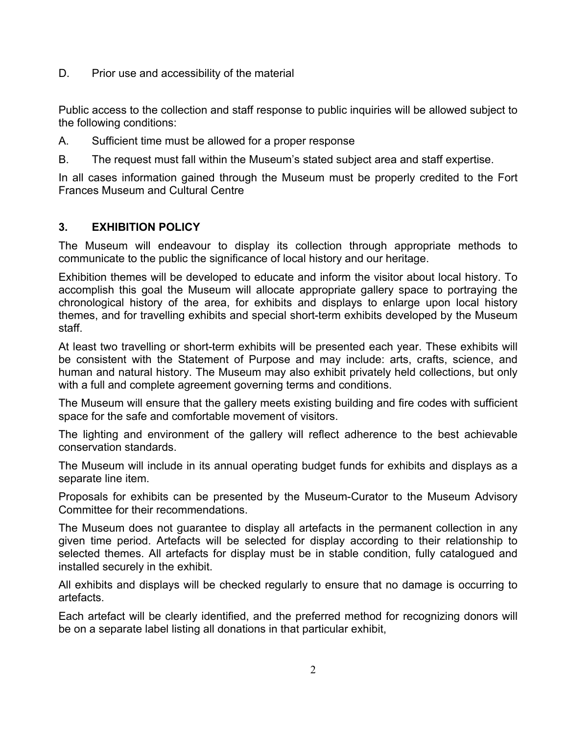D. Prior use and accessibility of the material

Public access to the collection and staff response to public inquiries will be allowed subject to the following conditions:

A. Sufficient time must be allowed for a proper response

B. The request must fall within the Museum's stated subject area and staff expertise.

In all cases information gained through the Museum must be properly credited to the Fort Frances Museum and Cultural Centre

## **3. EXHIBITION POLICY**

The Museum will endeavour to display its collection through appropriate methods to communicate to the public the significance of local history and our heritage.

Exhibition themes will be developed to educate and inform the visitor about local history. To accomplish this goal the Museum will allocate appropriate gallery space to portraying the chronological history of the area, for exhibits and displays to enlarge upon local history themes, and for travelling exhibits and special short-term exhibits developed by the Museum staff.

At least two travelling or short-term exhibits will be presented each year. These exhibits will be consistent with the Statement of Purpose and may include: arts, crafts, science, and human and natural history. The Museum may also exhibit privately held collections, but only with a full and complete agreement governing terms and conditions.

The Museum will ensure that the gallery meets existing building and fire codes with sufficient space for the safe and comfortable movement of visitors.

The lighting and environment of the gallery will reflect adherence to the best achievable conservation standards.

The Museum will include in its annual operating budget funds for exhibits and displays as a separate line item.

Proposals for exhibits can be presented by the Museum-Curator to the Museum Advisory Committee for their recommendations.

The Museum does not guarantee to display all artefacts in the permanent collection in any given time period. Artefacts will be selected for display according to their relationship to selected themes. All artefacts for display must be in stable condition, fully catalogued and installed securely in the exhibit.

All exhibits and displays will be checked regularly to ensure that no damage is occurring to artefacts.

Each artefact will be clearly identified, and the preferred method for recognizing donors will be on a separate label listing all donations in that particular exhibit,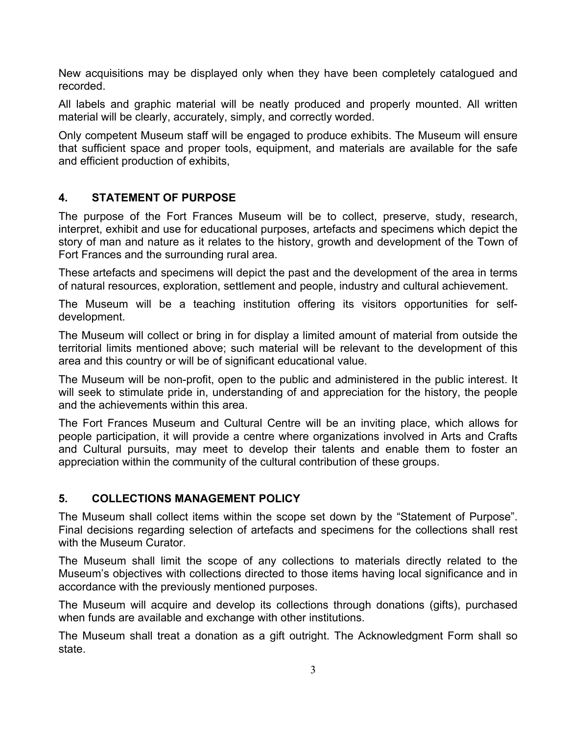New acquisitions may be displayed only when they have been completely catalogued and recorded.

All labels and graphic material will be neatly produced and properly mounted. All written material will be clearly, accurately, simply, and correctly worded.

Only competent Museum staff will be engaged to produce exhibits. The Museum will ensure that sufficient space and proper tools, equipment, and materials are available for the safe and efficient production of exhibits,

## **4. STATEMENT OF PURPOSE**

The purpose of the Fort Frances Museum will be to collect, preserve, study, research, interpret, exhibit and use for educational purposes, artefacts and specimens which depict the story of man and nature as it relates to the history, growth and development of the Town of Fort Frances and the surrounding rural area.

These artefacts and specimens will depict the past and the development of the area in terms of natural resources, exploration, settlement and people, industry and cultural achievement.

The Museum will be a teaching institution offering its visitors opportunities for selfdevelopment.

The Museum will collect or bring in for display a limited amount of material from outside the territorial limits mentioned above; such material will be relevant to the development of this area and this country or will be of significant educational value.

The Museum will be non-profit, open to the public and administered in the public interest. It will seek to stimulate pride in, understanding of and appreciation for the history, the people and the achievements within this area.

The Fort Frances Museum and Cultural Centre will be an inviting place, which allows for people participation, it will provide a centre where organizations involved in Arts and Crafts and Cultural pursuits, may meet to develop their talents and enable them to foster an appreciation within the community of the cultural contribution of these groups.

## **5. COLLECTIONS MANAGEMENT POLICY**

The Museum shall collect items within the scope set down by the "Statement of Purpose". Final decisions regarding selection of artefacts and specimens for the collections shall rest with the Museum Curator.

The Museum shall limit the scope of any collections to materials directly related to the Museum's objectives with collections directed to those items having local significance and in accordance with the previously mentioned purposes.

The Museum will acquire and develop its collections through donations (gifts), purchased when funds are available and exchange with other institutions.

The Museum shall treat a donation as a gift outright. The Acknowledgment Form shall so state.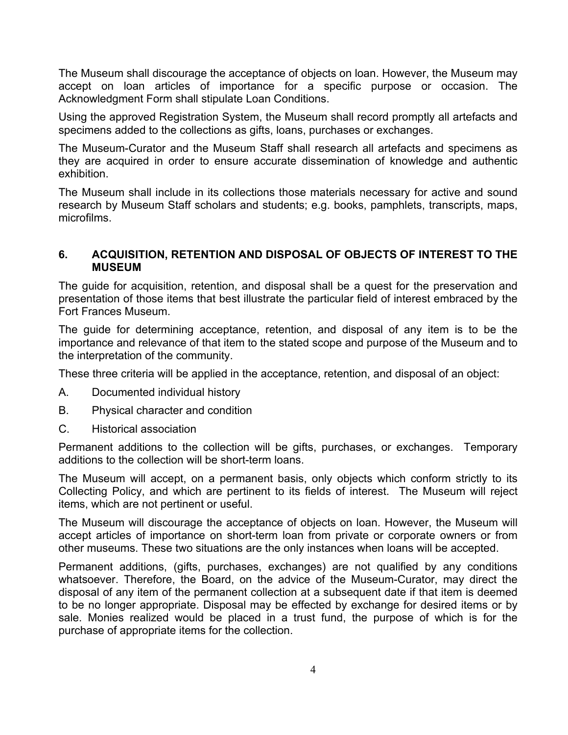The Museum shall discourage the acceptance of objects on loan. However, the Museum may accept on loan articles of importance for a specific purpose or occasion. The Acknowledgment Form shall stipulate Loan Conditions.

Using the approved Registration System, the Museum shall record promptly all artefacts and specimens added to the collections as gifts, loans, purchases or exchanges.

The Museum-Curator and the Museum Staff shall research all artefacts and specimens as they are acquired in order to ensure accurate dissemination of knowledge and authentic exhibition.

The Museum shall include in its collections those materials necessary for active and sound research by Museum Staff scholars and students; e.g. books, pamphlets, transcripts, maps, microfilms.

#### **6. ACQUISITION, RETENTION AND DISPOSAL OF OBJECTS OF INTEREST TO THE MUSEUM**

The guide for acquisition, retention, and disposal shall be a quest for the preservation and presentation of those items that best illustrate the particular field of interest embraced by the Fort Frances Museum.

The guide for determining acceptance, retention, and disposal of any item is to be the importance and relevance of that item to the stated scope and purpose of the Museum and to the interpretation of the community.

These three criteria will be applied in the acceptance, retention, and disposal of an object:

- A. Documented individual history
- B. Physical character and condition
- C. Historical association

Permanent additions to the collection will be gifts, purchases, or exchanges. Temporary additions to the collection will be short-term loans.

The Museum will accept, on a permanent basis, only objects which conform strictly to its Collecting Policy, and which are pertinent to its fields of interest. The Museum will reject items, which are not pertinent or useful.

The Museum will discourage the acceptance of objects on loan. However, the Museum will accept articles of importance on short-term loan from private or corporate owners or from other museums. These two situations are the only instances when loans will be accepted.

Permanent additions, (gifts, purchases, exchanges) are not qualified by any conditions whatsoever. Therefore, the Board, on the advice of the Museum-Curator, may direct the disposal of any item of the permanent collection at a subsequent date if that item is deemed to be no longer appropriate. Disposal may be effected by exchange for desired items or by sale. Monies realized would be placed in a trust fund, the purpose of which is for the purchase of appropriate items for the collection.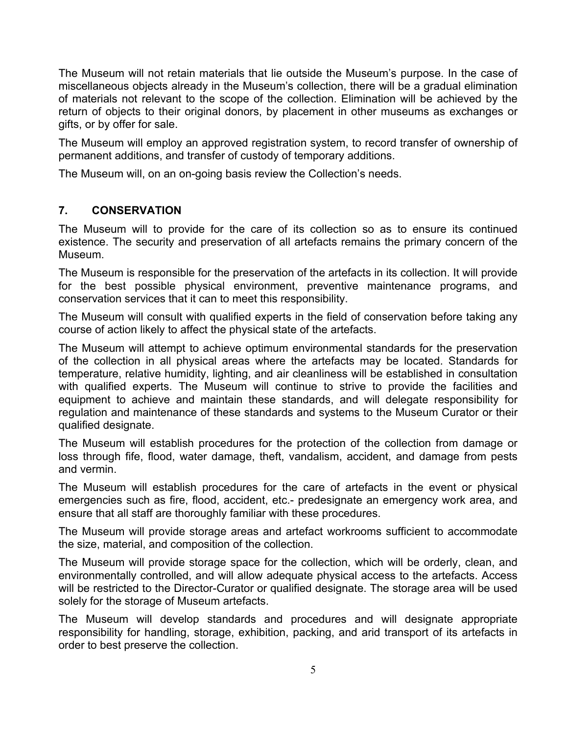The Museum will not retain materials that lie outside the Museum's purpose. In the case of miscellaneous objects already in the Museum's collection, there will be a gradual elimination of materials not relevant to the scope of the collection. Elimination will be achieved by the return of objects to their original donors, by placement in other museums as exchanges or gifts, or by offer for sale.

The Museum will employ an approved registration system, to record transfer of ownership of permanent additions, and transfer of custody of temporary additions.

The Museum will, on an on-going basis review the Collection's needs.

## **7. CONSERVATION**

The Museum will to provide for the care of its collection so as to ensure its continued existence. The security and preservation of all artefacts remains the primary concern of the Museum.

The Museum is responsible for the preservation of the artefacts in its collection. It will provide for the best possible physical environment, preventive maintenance programs, and conservation services that it can to meet this responsibility.

The Museum will consult with qualified experts in the field of conservation before taking any course of action likely to affect the physical state of the artefacts.

The Museum will attempt to achieve optimum environmental standards for the preservation of the collection in all physical areas where the artefacts may be located. Standards for temperature, relative humidity, lighting, and air cleanliness will be established in consultation with qualified experts. The Museum will continue to strive to provide the facilities and equipment to achieve and maintain these standards, and will delegate responsibility for regulation and maintenance of these standards and systems to the Museum Curator or their qualified designate.

The Museum will establish procedures for the protection of the collection from damage or loss through fife, flood, water damage, theft, vandalism, accident, and damage from pests and vermin.

The Museum will establish procedures for the care of artefacts in the event or physical emergencies such as fire, flood, accident, etc.- predesignate an emergency work area, and ensure that all staff are thoroughly familiar with these procedures.

The Museum will provide storage areas and artefact workrooms sufficient to accommodate the size, material, and composition of the collection.

The Museum will provide storage space for the collection, which will be orderly, clean, and environmentally controlled, and will allow adequate physical access to the artefacts. Access will be restricted to the Director-Curator or qualified designate. The storage area will be used solely for the storage of Museum artefacts.

The Museum will develop standards and procedures and will designate appropriate responsibility for handling, storage, exhibition, packing, and arid transport of its artefacts in order to best preserve the collection.